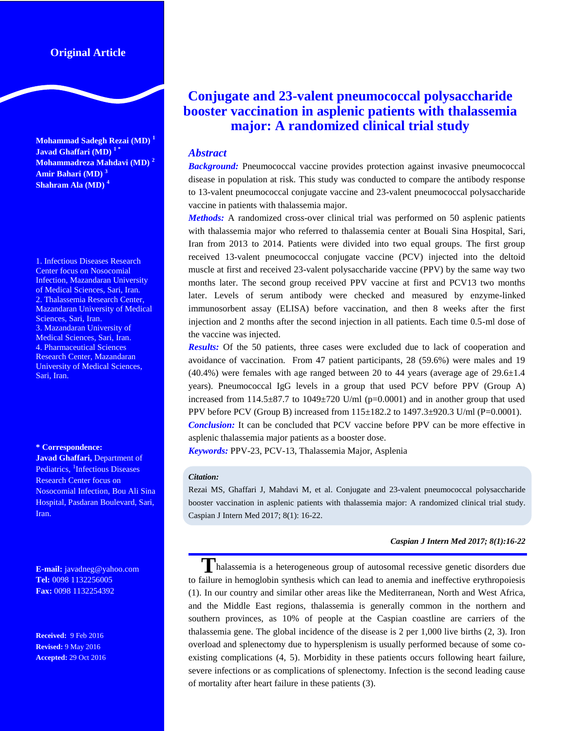# **Original Article**

**Mohammad Sadegh Rezai (MD) <sup>1</sup> Javad Ghaffari (MD) <sup>1</sup> \* Mohammadreza Mahdavi (MD) <sup>2</sup> Amir Bahari (MD) <sup>3</sup> Shahram Ala (MD) <sup>4</sup>**

1. Infectious Diseases Research Center focus on Nosocomial Infection, Mazandaran University of Medical Sciences, Sari, Iran. 2. Thalassemia Research Center, Mazandaran University of Medical Sciences, Sari, Iran. 3. Mazandaran University of Medical Sciences, Sari, Iran. 4. Pharmaceutical Sciences Research Center, Mazandaran University of Medical Sciences, Sari, Iran.

#### **\* Correspondence:**

**Javad Ghaffari,** Department of Pediatrics, <sup>1</sup>Infectious Diseases Research Center focus on Nosocomial Infection, Bou Ali Sina Hospital, Pasdaran Boulevard, Sari, Iran.

**E-mail:** javadneg@yahoo.com **Tel:** 0098 1132256005 **Fax:** 0098 1132254392

**Received:** 9 Feb 2016 **Revised:** 9 May 2016 **Accepted:** 29 Oct 2016

# **Conjugate and 23-valent pneumococcal polysaccharide booster vaccination in asplenic patients with thalassemia major: A randomized clinical trial study**

## *Abstract*

**Background:** Pneumococcal vaccine provides protection against invasive pneumococcal disease in population at risk. This study was conducted to compare the antibody response to 13-valent pneumococcal conjugate vaccine and 23-valent pneumococcal polysaccharide vaccine in patients with thalassemia major.

*Methods:* A randomized cross-over clinical trial was performed on 50 asplenic patients with thalassemia major who referred to thalassemia center at Bouali Sina Hospital, Sari, Iran from 2013 to 2014. Patients were divided into two equal groups. The first group received 13-valent pneumococcal conjugate vaccine (PCV) injected into the deltoid muscle at first and received 23-valent polysaccharide vaccine (PPV) by the same way two months later. The second group received PPV vaccine at first and PCV13 two months later. Levels of serum antibody were checked and measured by enzyme-linked immunosorbent assay (ELISA) before vaccination, and then 8 weeks after the first injection and 2 months after the second injection in all patients. Each time 0.5-ml dose of the vaccine was injected.

*Results:* Of the 50 patients, three cases were excluded due to lack of cooperation and avoidance of vaccination. From 47 patient participants, 28 (59.6%) were males and 19  $(40.4%)$  were females with age ranged between 20 to 44 years (average age of 29.6 $\pm$ 1.4 years). Pneumococcal IgG levels in a group that used PCV before PPV (Group A) increased from  $114.5\pm 87.7$  to  $1049\pm 720$  U/ml (p=0.0001) and in another group that used PPV before PCV (Group B) increased from 115±182.2 to 1497.3±920.3 U/ml (P=0.0001).

*Conclusion:* It can be concluded that PCV vaccine before PPV can be more effective in asplenic thalassemia major patients as a booster dose.

*Keywords:* PPV-23, PCV-13, Thalassemia Major, Asplenia

#### *Citation:*

Rezai MS, Ghaffari J, Mahdavi M, et al. Conjugate and 23-valent pneumococcal polysaccharide booster vaccination in asplenic patients with thalassemia major: A randomized clinical trial study. Caspian J Intern Med 2017; 8(1): 16-22.

#### *Caspian J Intern Med 2017; 8(1):16-22*

**T**halassemia is a heterogeneous group of autosomal recessive genetic disorders due to failure in hemoglobin synthesis which can lead to anemia and ineffective erythropoiesis (1). In our country and similar other areas like the Mediterranean, North and West Africa, and the Middle East regions, thalassemia is generally common in the northern and southern provinces, as 10% of people at the Caspian coastline are carriers of the thalassemia gene. The global incidence of the disease is 2 per 1,000 live births (2, 3). Iron overload and splenectomy due to hypersplenism is usually performed because of some coexisting complications (4, 5). Morbidity in these patients occurs following heart failure, severe infections or as complications of splenectomy. Infection is the second leading cause of mortality after heart failure in these patients (3).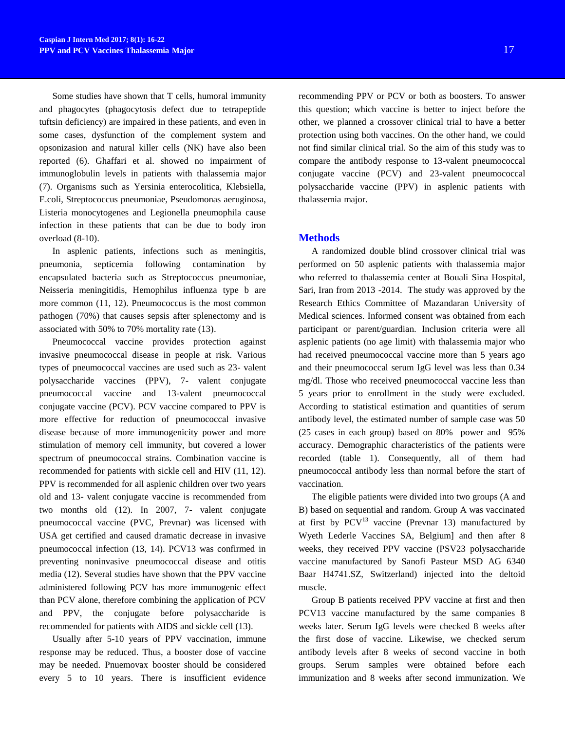Some studies have shown that T cells, humoral immunity and phagocytes (phagocytosis defect due to tetrapeptide tuftsin deficiency) are impaired in these patients, and even in some cases, dysfunction of the complement system and opsonizasion and natural killer cells (NK) have also been reported (6). Ghaffari et al. showed no impairment of immunoglobulin levels in patients with thalassemia major (7). Organisms such as Yersinia enterocolitica, Klebsiella, E.coli, Streptococcus pneumoniae, Pseudomonas aeruginosa, Listeria monocytogenes and Legionella pneumophila cause infection in these patients that can be due to body iron overload (8-10).

In asplenic patients, infections such as meningitis, pneumonia, septicemia following contamination by encapsulated bacteria such as Streptococcus pneumoniae, Neisseria meningitidis, Hemophilus influenza type b are more common (11, 12). Pneumococcus is the most common pathogen (70%) that causes sepsis after splenectomy and is associated with 50% to 70% mortality rate (13).

Pneumococcal vaccine provides protection against invasive pneumococcal disease in people at risk. Various types of pneumococcal vaccines are used such as 23- valent polysaccharide vaccines (PPV), 7- valent conjugate pneumococcal vaccine and 13-valent pneumococcal conjugate vaccine (PCV). PCV vaccine compared to PPV is more effective for reduction of pneumococcal invasive disease because of more immunogenicity power and more stimulation of memory cell immunity, but covered a lower spectrum of pneumococcal strains. Combination vaccine is recommended for patients with sickle cell and HIV (11, 12). PPV is recommended for all asplenic children over two years old and 13- valent conjugate vaccine is recommended from two months old (12). In 2007, 7- valent conjugate pneumococcal vaccine (PVC, Prevnar) was licensed with USA get certified and caused dramatic decrease in invasive pneumococcal infection (13, 14). PCV13 was confirmed in preventing noninvasive pneumococcal disease and otitis media (12). Several studies have shown that the PPV vaccine administered following PCV has more immunogenic effect than PCV alone, therefore combining the application of PCV and PPV, the conjugate before polysaccharide is recommended for patients with AIDS and sickle cell (13).

Usually after 5-10 years of PPV vaccination, immune response may be reduced. Thus, a booster dose of vaccine may be needed. Pnuemovax booster should be considered every 5 to 10 years. There is insufficient evidence

recommending PPV or PCV or both as boosters. To answer this question; which vaccine is better to inject before the other, we planned a crossover clinical trial to have a better protection using both vaccines. On the other hand, we could not find similar clinical trial. So the aim of this study was to compare the antibody response to 13-valent pneumococcal conjugate vaccine (PCV) and 23-valent pneumococcal polysaccharide vaccine (PPV) in asplenic patients with thalassemia major.

## **Methods**

A randomized double blind crossover clinical trial was performed on 50 asplenic patients with thalassemia major who referred to thalassemia center at Bouali Sina Hospital, Sari, Iran from 2013 -2014. The study was approved by the Research Ethics Committee of Mazandaran University of Medical sciences. Informed consent was obtained from each participant or parent/guardian. Inclusion criteria were all asplenic patients (no age limit) with thalassemia major who had received pneumococcal vaccine more than 5 years ago and their pneumococcal serum IgG level was less than 0.34 mg/dl. Those who received pneumococcal vaccine less than 5 years prior to enrollment in the study were excluded. According to statistical estimation and quantities of serum antibody level, the estimated number of sample case was 50 (25 cases in each group) based on 80% power and 95% accuracy. Demographic characteristics of the patients were recorded (table 1). Consequently, all of them had pneumococcal antibody less than normal before the start of vaccination.

The eligible patients were divided into two groups (A and B) based on sequential and random. Group A was vaccinated at first by  $PCV<sup>13</sup>$  vaccine (Prevnar 13) manufactured by Wyeth Lederle Vaccines SA, Belgium] and then after 8 weeks, they received PPV vaccine (PSV23 polysaccharide vaccine manufactured by Sanofi Pasteur MSD AG 6340 Baar H4741.SZ, Switzerland) injected into the deltoid muscle.

Group B patients received PPV vaccine at first and then PCV13 vaccine manufactured by the same companies 8 weeks later. Serum IgG levels were checked 8 weeks after the first dose of vaccine. Likewise, we checked serum antibody levels after 8 weeks of second vaccine in both groups. Serum samples were obtained before each immunization and 8 weeks after second immunization. We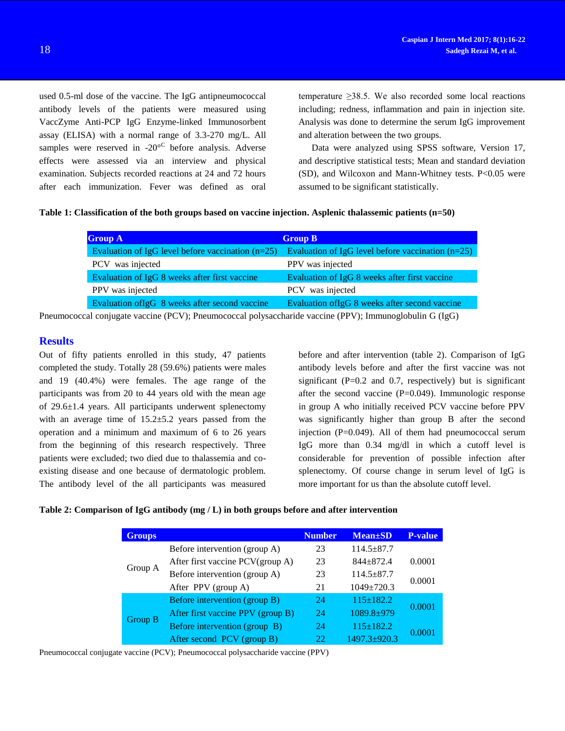used 0.5-ml dose of the vaccine. The IgG antipneumococcal antibody levels of the patients were measured using VaccZyme Anti-PCP IgG Enzyme-linked Immunosorbent assay (ELISA) with a normal range of 3.3-270 mg/L. All samples were reserved in  $-20^{\circ}$  before analysis. Adverse effects were assessed via an interview and physical examination. Subjects recorded reactions at 24 and 72 hours after each immunization. Fever was defined as oral

temperature  $\geq$ 38.5. We also recorded some local reactions including; redness, inflammation and pain in injection site. Analysis was done to determine the serum IgG improvement and alteration between the two groups.

Data were analyzed using SPSS software, Version 17, and descriptive statistical tests; Mean and standard deviation (SD), and Wilcoxon and Mann-Whitney tests. P<0.05 were assumed to be significant statistically.

#### **Table 1: Classification of the both groups based on vaccine injection. Asplenic thalassemic patients (n=50)**

| <b>Group A</b><br><b>Group B</b>                    |                                                     |
|-----------------------------------------------------|-----------------------------------------------------|
| Evaluation of IgG level before vaccination $(n=25)$ | Evaluation of IgG level before vaccination $(n=25)$ |
| PCV was injected                                    | PPV was injected                                    |
| Evaluation of IgG 8 weeks after first vaccine       | Evaluation of IgG 8 weeks after first vaccine       |
| PPV was injected                                    | PCV was injected                                    |
| Evaluation of IgG 8 weeks after second vaccine      | Evaluation of IgG 8 weeks after second vaccine      |

Pneumococcal conjugate vaccine (PCV); Pneumococcal polysaccharide vaccine (PPV); Immunoglobulin G (IgG)

# **Results**

Out of fifty patients enrolled in this study, 47 patients completed the study. Totally 28 (59.6%) patients were males and 19 (40.4%) were females. The age range of the participants was from 20 to 44 years old with the mean age of 29.6±1.4 years. All participants underwent splenectomy with an average time of  $15.2 \pm 5.2$  years passed from the operation and a minimum and maximum of 6 to 26 years from the beginning of this research respectively. Three patients were excluded; two died due to thalassemia and coexisting disease and one because of dermatologic problem. The antibody level of the all participants was measured

before and after intervention (table 2). Comparison of IgG antibody levels before and after the first vaccine was not significant ( $P=0.2$  and 0.7, respectively) but is significant after the second vaccine  $(P=0.049)$ . Immunologic response in group A who initially received PCV vaccine before PPV was significantly higher than group B after the second injection  $(P=0.049)$ . All of them had pneumococcal serum IgG more than 0.34 mg/dl in which a cutoff level is considerable for prevention of possible infection after splenectomy. Of course change in serum level of IgG is more important for us than the absolute cutoff level.

#### **Table 2: Comparison of IgG antibody (mg / L) in both groups before and after intervention**

| <b>Groups</b>  |                                   | <b>Number</b> | $Mean \pm SD$      | <b>P-value</b> |
|----------------|-----------------------------------|---------------|--------------------|----------------|
| Group A        | Before intervention (group A)     | 23            | $114.5 \pm 87.7$   |                |
|                | After first vaccine PCV(group A)  | 23            | $844 + 872.4$      | 0.0001         |
|                | Before intervention (group A)     | 23            | $114.5 \pm 87.7$   | 0.0001         |
|                | After PPV (group A)               | 21            | 1049±720.3         |                |
| <b>Group B</b> | Before intervention (group B)     | 24            | $115 \pm 182.2$    | 0.0001         |
|                | After first vaccine PPV (group B) | 24            | 1089.8±979         |                |
|                | Before intervention (group B)     | 24            | $115 \pm 182.2$    | 0.0001         |
|                | After second PCV (group B)        |               | $1497.3 \pm 920.3$ |                |

Pneumococcal conjugate vaccine (PCV); Pneumococcal polysaccharide vaccine (PPV)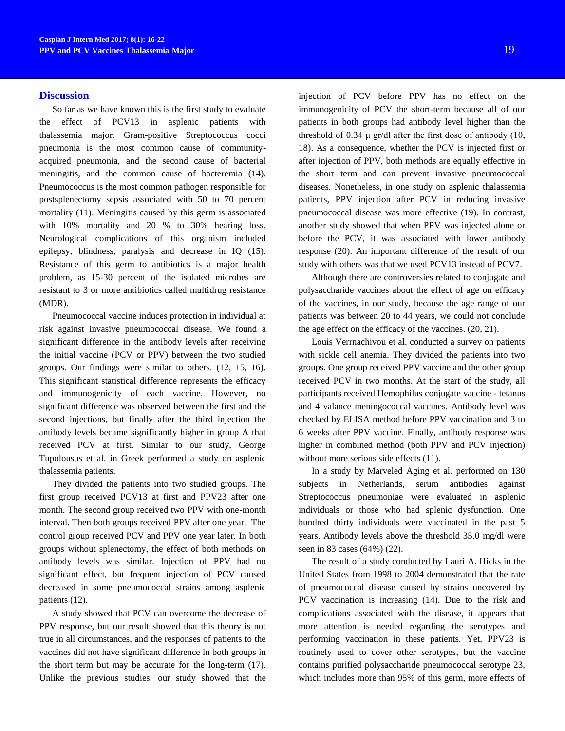### **Discussion**

So far as we have known this is the first study to evaluate the effect of PCV13 in asplenic patients with thalassemia major. Gram-positive Streptococcus cocci pneumonia is the most common cause of communityacquired pneumonia, and the second cause of bacterial meningitis, and the common cause of bacteremia (14). Pneumococcus is the most common pathogen responsible for postsplenectomy sepsis associated with 50 to 70 percent mortality (11). Meningitis caused by this germ is associated with 10% mortality and 20 % to 30% hearing loss. Neurological complications of this organism included epilepsy, blindness, paralysis and decrease in IQ (15). Resistance of this germ to antibiotics is a major health problem, as 15-30 percent of the isolated microbes are resistant to 3 or more antibiotics called multidrug resistance (MDR).

Pneumococcal vaccine induces protection in individual at risk against invasive pneumococcal disease. We found a significant difference in the antibody levels after receiving the initial vaccine (PCV or PPV) between the two studied groups. Our findings were similar to others. (12, 15, 16). This significant statistical difference represents the efficacy and immunogenicity of each vaccine. However, no significant difference was observed between the first and the second injections, but finally after the third injection the antibody levels became significantly higher in group A that received PCV at first. Similar to our study, George Tupolousus et al. in Greek performed a study on asplenic thalassemia patients.

They divided the patients into two studied groups. The first group received PCV13 at first and PPV23 after one month. The second group received two PPV with one-month interval. Then both groups received PPV after one year. The control group received PCV and PPV one year later. In both groups without splenectomy, the effect of both methods on antibody levels was similar. Injection of PPV had no significant effect, but frequent injection of PCV caused decreased in some pneumococcal strains among asplenic patients (12).

A study showed that PCV can overcome the decrease of PPV response, but our result showed that this theory is not true in all circumstances, and the responses of patients to the vaccines did not have significant difference in both groups in the short term but may be accurate for the long-term (17). Unlike the previous studies, our study showed that the

injection of PCV before PPV has no effect on the immunogenicity of PCV the short-term because all of our patients in both groups had antibody level higher than the threshold of 0.34  $\mu$  gr/dl after the first dose of antibody (10, 18). As a consequence, whether the PCV is injected first or after injection of PPV, both methods are equally effective in the short term and can prevent invasive pneumococcal diseases. Nonetheless, in one study on asplenic thalassemia patients, PPV injection after PCV in reducing invasive pneumococcal disease was more effective (19). In contrast, another study showed that when PPV was injected alone or before the PCV, it was associated with lower antibody response (20). An important difference of the result of our study with others was that we used PCV13 instead of PCV7.

Although there are controversies related to conjugate and polysaccharide vaccines about the effect of age on efficacy of the vaccines, in our study, because the age range of our patients was between 20 to 44 years, we could not conclude the age effect on the efficacy of the vaccines. (20, 21).

Louis Verrnachivou et al. conducted a survey on patients with sickle cell anemia. They divided the patients into two groups. One group received PPV vaccine and the other group received PCV in two months. At the start of the study, all participants received Hemophilus conjugate vaccine - tetanus and 4 valance meningococcal vaccines. Antibody level was checked by ELISA method before PPV vaccination and 3 to 6 weeks after PPV vaccine. Finally, antibody response was higher in combined method (both PPV and PCV injection) without more serious side effects  $(11)$ .

In a study by Marveled Aging et al. performed on 130 subjects in Netherlands, serum antibodies against Streptococcus pneumoniae were evaluated in asplenic individuals or those who had splenic dysfunction. One hundred thirty individuals were vaccinated in the past 5 years. Antibody levels above the threshold 35.0 mg/dl were seen in 83 cases (64%) (22).

The result of a study conducted by Lauri A. Hicks in the United States from 1998 to 2004 demonstrated that the rate of pneumococcal disease caused by strains uncovered by PCV vaccination is increasing (14). Due to the risk and complications associated with the disease, it appears that more attention is needed regarding the serotypes and performing vaccination in these patients. Yet, PPV23 is routinely used to cover other serotypes, but the vaccine contains purified polysaccharide pneumococcal serotype 23, which includes more than 95% of this germ, more effects of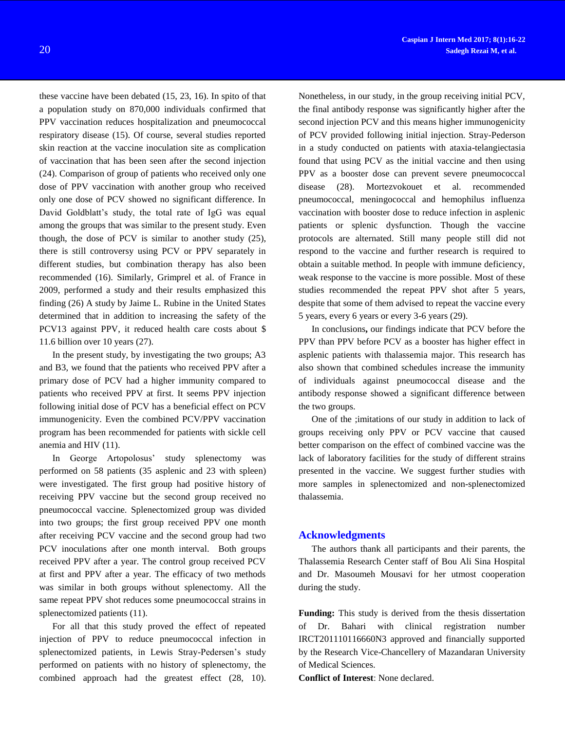these vaccine have been debated (15, 23, 16). In spito of that a population study on 870,000 individuals confirmed that PPV vaccination reduces hospitalization and pneumococcal respiratory disease (15). Of course, several studies reported skin reaction at the vaccine inoculation site as complication of vaccination that has been seen after the second injection (24). Comparison of group of patients who received only one dose of PPV vaccination with another group who received only one dose of PCV showed no significant difference. In David Goldblatt's study, the total rate of IgG was equal among the groups that was similar to the present study. Even though, the dose of PCV is similar to another study (25), there is still controversy using PCV or PPV separately in different studies, but combination therapy has also been recommended (16). Similarly, Grimprel et al. of France in 2009, performed a study and their results emphasized this finding (26) A study by Jaime L. Rubine in the United States determined that in addition to increasing the safety of the PCV13 against PPV, it reduced health care costs about \$ 11.6 billion over 10 years (27).

In the present study, by investigating the two groups; A3 and B3, we found that the patients who received PPV after a primary dose of PCV had a higher immunity compared to patients who received PPV at first. It seems PPV injection following initial dose of PCV has a beneficial effect on PCV immunogenicity. Even the combined PCV/PPV vaccination program has been recommended for patients with sickle cell anemia and HIV (11).

In George Artopolosus' study splenectomy was performed on 58 patients (35 asplenic and 23 with spleen) were investigated. The first group had positive history of receiving PPV vaccine but the second group received no pneumococcal vaccine. Splenectomized group was divided into two groups; the first group received PPV one month after receiving PCV vaccine and the second group had two PCV inoculations after one month interval. Both groups received PPV after a year. The control group received PCV at first and PPV after a year. The efficacy of two methods was similar in both groups without splenectomy. All the same repeat PPV shot reduces some pneumococcal strains in splenectomized patients (11).

For all that this study proved the effect of repeated injection of PPV to reduce pneumococcal infection in splenectomized patients, in Lewis Stray-Pedersen's study performed on patients with no history of splenectomy, the combined approach had the greatest effect (28, 10).

Nonetheless, in our study, in the group receiving initial PCV, the final antibody response was significantly higher after the second injection PCV and this means higher immunogenicity of PCV provided following initial injection. Stray-Pederson in a study conducted on patients with ataxia-telangiectasia found that using PCV as the initial vaccine and then using PPV as a booster dose can prevent severe pneumococcal disease (28). Mortezvokouet et al. recommended pneumococcal, meningococcal and hemophilus influenza vaccination with booster dose to reduce infection in asplenic patients or splenic dysfunction. Though the vaccine protocols are alternated. Still many people still did not respond to the vaccine and further research is required to obtain a suitable method. In people with immune deficiency, weak response to the vaccine is more possible. Most of these studies recommended the repeat PPV shot after 5 years, despite that some of them advised to repeat the vaccine every 5 years, every 6 years or every 3-6 years (29).

In conclusions**,** our findings indicate that PCV before the PPV than PPV before PCV as a booster has higher effect in asplenic patients with thalassemia major. This research has also shown that combined schedules increase the immunity of individuals against pneumococcal disease and the antibody response showed a significant difference between the two groups.

One of the ;imitations of our study in addition to lack of groups receiving only PPV or PCV vaccine that caused better comparison on the effect of combined vaccine was the lack of laboratory facilities for the study of different strains presented in the vaccine. We suggest further studies with more samples in splenectomized and non-splenectomized thalassemia.

## **Acknowledgments**

The authors thank all participants and their parents, the Thalassemia Research Center staff of Bou Ali Sina Hospital and Dr. Masoumeh Mousavi for her utmost cooperation during the study.

**Funding:** This study is derived from the thesis dissertation of Dr. Bahari with clinical registration number IRCT201110116660N3 approved and financially supported by the Research Vice-Chancellery of Mazandaran University of Medical Sciences.

**Conflict of Interest**: None declared.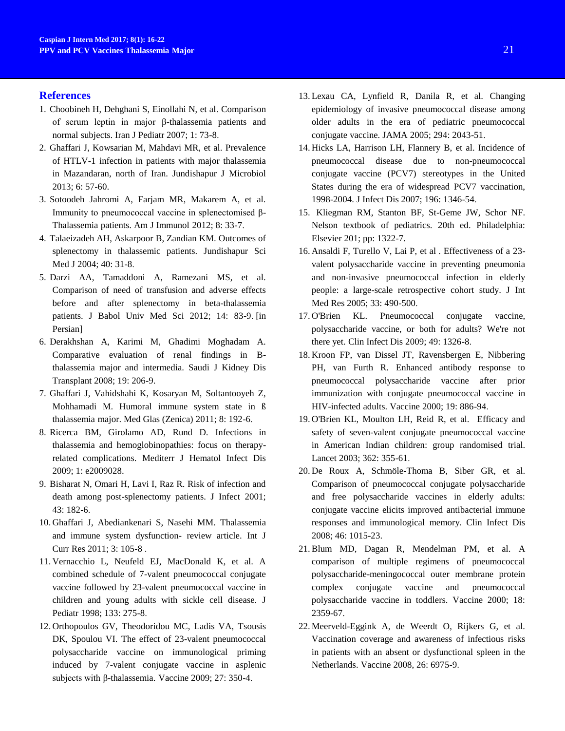## **References**

- 1. Choobineh H, Dehghani S, Einollahi N, et al. Comparison of serum leptin in major β-thalassemia patients and normal subjects. Iran J Pediatr 2007; 1: 73-8.
- 2. Ghaffari J, Kowsarian M, Mahdavi MR, et al. Prevalence of HTLV-1 infection in patients with major thalassemia in Mazandaran, north of Iran. Jundishapur J Microbiol 2013; 6: 57-60.
- 3. Sotoodeh Jahromi A, Farjam MR, Makarem A, et al. Immunity to pneumococcal vaccine in splenectomised β-Thalassemia patients. Am J Immunol 2012; 8: 33-7.
- 4. Talaeizadeh AH, Askarpoor B, Zandian KM. Outcomes of splenectomy in thalassemic patients. Jundishapur Sci Med J 2004; 40: 31-8.
- 5. Darzi AA, Tamaddoni A, Ramezani MS, et al. Comparison of need of transfusion and adverse effects before and after splenectomy in beta-thalassemia patients. J Babol Univ Med Sci 2012; 14: 83-9. [in Persian]
- 6. Derakhshan A, Karimi M, Ghadimi Moghadam A. Comparative evaluation of renal findings in Bthalassemia major and intermedia. Saudi J Kidney Dis Transplant 2008; 19: 206-9.
- 7. Ghaffari J, Vahidshahi K, Kosaryan M, Soltantooyeh Z, Mohhamadi M. Humoral immune system state in ß thalassemia major. Med Glas (Zenica) 2011; 8: 192-6.
- 8. Ricerca BM, Girolamo AD, Rund D. Infections in thalassemia and hemoglobinopathies: focus on therapyrelated complications. Mediterr J Hematol Infect Dis 2009; 1: e2009028.
- 9. Bisharat N, Omari H, Lavi I, Raz R. Risk of infection and death among post-splenectomy patients. J Infect 2001; 43: 182-6.
- 10. Ghaffari J, Abediankenari S, Nasehi MM. Thalassemia and immune system dysfunction- review article. Int J Curr Res 2011; 3: 105-8 .
- 11. Vernacchio L, Neufeld EJ, MacDonald K, et al. A combined schedule of 7-valent pneumococcal conjugate vaccine followed by 23-valent pneumococcal vaccine in children and young adults with sickle cell disease. J Pediatr 1998; 133: 275-8.
- 12. Orthopoulos GV, Theodoridou MC, Ladis VA, Tsousis DK, Spoulou VI. The effect of 23-valent pneumococcal polysaccharide vaccine on immunological priming induced by 7-valent conjugate vaccine in asplenic subjects with β-thalassemia. Vaccine 2009; 27: 350-4.
- 13. Lexau CA, Lynfield R, Danila R, et al. Changing epidemiology of invasive pneumococcal disease among older adults in the era of pediatric pneumococcal conjugate vaccine. JAMA 2005; 294: 2043-51.
- 14. Hicks LA, Harrison LH, Flannery B, et al. Incidence of pneumococcal disease due to non-pneumococcal conjugate vaccine (PCV7) stereotypes in the United States during the era of widespread PCV7 vaccination, 1998-2004. J Infect Dis 2007; 196: 1346-54.
- 15. Kliegman RM, Stanton BF, St-Geme JW, Schor NF. Nelson textbook of pediatrics. 20th ed. Philadelphia: Elsevier 201; pp: 1322-7.
- 16. Ansaldi F, Turello V, Lai P, et al . Effectiveness of a 23 valent polysaccharide vaccine in preventing pneumonia and non-invasive pneumococcal infection in elderly people: a large-scale retrospective cohort study. J Int Med Res 2005; 33: 490-500.
- 17. O'Brien KL. Pneumococcal conjugate vaccine, polysaccharide vaccine, or both for adults? We're not there yet. Clin Infect Dis 2009; 49: 1326-8.
- 18. Kroon FP, van Dissel JT, Ravensbergen E, Nibbering PH, van Furth R. Enhanced antibody response to pneumococcal polysaccharide vaccine after prior immunization with conjugate pneumococcal vaccine in HIV-infected adults. Vaccine 2000; 19: 886-94.
- 19. O'Brien KL, Moulton LH, Reid R, et al. Efficacy and safety of seven-valent conjugate pneumococcal vaccine in American Indian children: group randomised trial. Lancet 2003; 362: 355-61.
- 20. De Roux A, Schmöle-Thoma B, Siber GR, et al. Comparison of pneumococcal conjugate polysaccharide and free polysaccharide vaccines in elderly adults: conjugate vaccine elicits improved antibacterial immune responses and immunological memory. Clin Infect Dis 2008; 46: 1015-23.
- 21.Blum MD, Dagan R, Mendelman PM, et al. A comparison of multiple regimens of pneumococcal polysaccharide-meningococcal outer membrane protein complex conjugate vaccine and pneumococcal polysaccharide vaccine in toddlers. Vaccine 2000; 18: 2359-67.
- 22. Meerveld-Eggink A, de Weerdt O, Rijkers G, et al. Vaccination coverage and awareness of infectious risks in patients with an absent or dysfunctional spleen in the Netherlands. Vaccine 2008, 26: 6975-9.